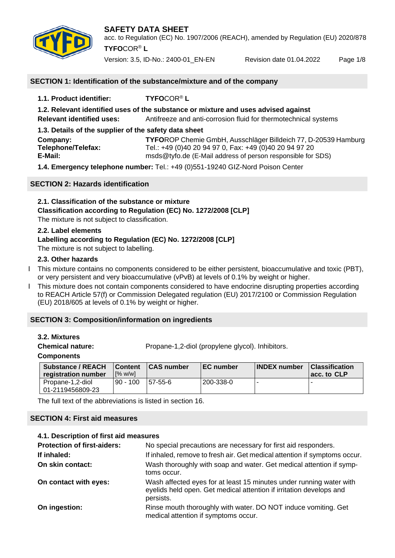

acc. to Regulation (EC) No. 1907/2006 (REACH), amended by Regulation (EU) 2020/878 **TYFO**COR® **L**

Version: 3.5, ID-No.: 2400-01\_EN-EN Revision date 01.04.2022 Page 1/8

## **SECTION 1: Identification of the substance/mixture and of the company**

**1.1. Product identifier: TYFO**COR® **L 1.2. Relevant identified uses of the substance or mixture and uses advised against Relevant identified uses:** Antifreeze and anti-corrosion fluid for thermotechnical systems **1.3. Details of the supplier of the safety data sheet Company: TYFO**ROP Chemie GmbH, Ausschläger Billdeich 77, D-20539 Hamburg **Telephone/Telefax:** Tel.: +49 (0)40 20 94 97 0, Fax: +49 (0)40 20 94 97 20<br>**E-Mail:** msds@tvfo.de (E-Mail address of person responsible for **E-Mail:** msds@tyfo.de (E-Mail address of person responsible for SDS) **1.4. Emergency telephone number:** Tel.: +49 (0)551-19240 GIZ-Nord Poison Center

#### **SECTION 2: Hazards identification**

**2.1. Classification of the substance or mixture Classification according to Regulation (EC) No. 1272/2008 [CLP]** The mixture is not subject to classification.

#### **2.2. Label elements**

# **Labelling according to Regulation (EC) No. 1272/2008 [CLP]**

The mixture is not subject to labelling.

#### **2.3. Other hazards**

- I This mixture contains no components considered to be either persistent, bioaccumulative and toxic (PBT), or very persistent and very bioaccumulative (vPvB) at levels of 0.1% by weight or higher.
- Ӏ This mixture does not contain components considered to have endocrine disrupting properties according to REACH Article 57(f) or Commission Delegated regulation (EU) 2017/2100 or Commission Regulation (EU) 2018/605 at levels of 0.1% by weight or higher.

# **SECTION 3: Composition/information on ingredients**

#### **3.2. Mixtures**

**Chemical nature:** Propane-1,2-diol (propylene glycol). Inhibitors.

#### **Components**

| <b>Substance / REACH</b><br>registration number | <b>Content</b><br>$\sqrt{2}$ w/wl | <b>CAS number</b> | <b>IEC number</b> | <b>INDEX</b> number | <b>Classification</b><br>acc. to CLP |
|-------------------------------------------------|-----------------------------------|-------------------|-------------------|---------------------|--------------------------------------|
| Propane-1.2-diol<br>01-2119456809-23            | $90 - 100$                        | 157-55-6          | l 200-338-0       |                     |                                      |

The full text of the abbreviations is listed in section 16.

#### **SECTION 4: First aid measures**

#### **4.1. Description of first aid measures**

| <b>Protection of first-aiders:</b> | No special precautions are necessary for first aid responders.                                                                                          |
|------------------------------------|---------------------------------------------------------------------------------------------------------------------------------------------------------|
| If inhaled:                        | If inhaled, remove to fresh air. Get medical attention if symptoms occur.                                                                               |
| On skin contact:                   | Wash thoroughly with soap and water. Get medical attention if symp-<br>toms occur.                                                                      |
| On contact with eyes:              | Wash affected eyes for at least 15 minutes under running water with<br>eyelids held open. Get medical attention if irritation develops and<br>persists. |
| On ingestion:                      | Rinse mouth thoroughly with water. DO NOT induce vomiting. Get<br>medical attention if symptoms occur.                                                  |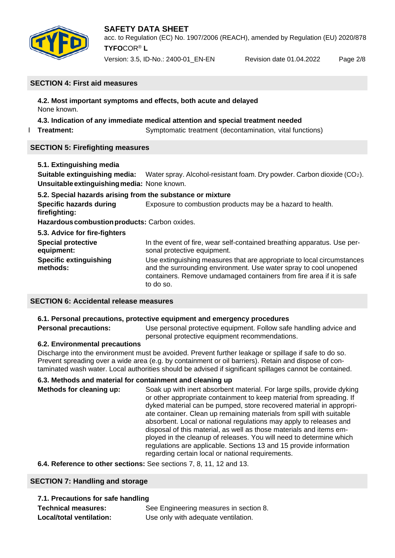

# **SAFETY DATA SHEET** acc. to Regulation (EC) No. 1907/2006 (REACH), amended by Regulation (EU) 2020/878 **TYFO**COR® **L**

Version: 3.5, ID-No.: 2400-01\_EN-EN Revision date 01.04.2022 Page 2/8

#### **SECTION 4: First aid measures**

**4.2. Most important symptoms and effects, both acute and delayed** None known.

# **4.3. Indication of any immediate medical attention and special treatment needed**

**Treatment:** Symptomatic treatment (decontamination, vital functions)

# **SECTION 5: Firefighting measures**

| 5.1. Extinguishing media                                   |                                                                                                                                                                                                                                  |
|------------------------------------------------------------|----------------------------------------------------------------------------------------------------------------------------------------------------------------------------------------------------------------------------------|
| Suitable extinguishing media:                              | Water spray. Alcohol-resistant foam. Dry powder. Carbon dioxide $(CO2)$ .                                                                                                                                                        |
| Unsuitable extinguishing media: None known.                |                                                                                                                                                                                                                                  |
| 5.2. Special hazards arising from the substance or mixture |                                                                                                                                                                                                                                  |
| <b>Specific hazards during</b><br>firefighting:            | Exposure to combustion products may be a hazard to health.                                                                                                                                                                       |
| Hazardous combustion products: Carbon oxides.              |                                                                                                                                                                                                                                  |
| 5.3. Advice for fire-fighters                              |                                                                                                                                                                                                                                  |
| <b>Special protective</b><br>equipment:                    | In the event of fire, wear self-contained breathing apparatus. Use per-<br>sonal protective equipment.                                                                                                                           |
| <b>Specific extinguishing</b><br>methods:                  | Use extinguishing measures that are appropriate to local circumstances<br>and the surrounding environment. Use water spray to cool unopened<br>containers. Remove undamaged containers from fire area if it is safe<br>to do so. |

# **SECTION 6: Accidental release measures**

# **6.1. Personal precautions, protective equipment and emergency procedures**

**Personal precautions:** Use personal protective equipment. Follow safe handling advice and personal protective equipment recommendations.

# **6.2. Environmental precautions**

Discharge into the environment must be avoided. Prevent further leakage or spillage if safe to do so. Prevent spreading over a wide area (e.g. by containment or oil barriers). Retain and dispose of contaminated wash water. Local authorities should be advised if significant spillages cannot be contained.

# **6.3. Methods and material for containment and cleaning up**

**Methods for cleaning up:** Soak up with inert absorbent material. For large spills, provide dyking or other appropriate containment to keep material from spreading. If dyked material can be pumped, store recovered material in appropriate container. Clean up remaining materials from spill with suitable absorbent. Local or national regulations may apply to releases and disposal of this material, as well as those materials and items employed in the cleanup of releases. You will need to determine which regulations are applicable. Sections 13 and 15 provide information regarding certain local or national requirements.

**6.4. Reference to other sections:** See sections 7, 8, 11, 12 and 13.

# **SECTION 7: Handling and storage**

| 7.1. Precautions for safe handling |                                        |  |
|------------------------------------|----------------------------------------|--|
| <b>Technical measures:</b>         | See Engineering measures in section 8. |  |
| Local/total ventilation:           | Use only with adequate ventilation.    |  |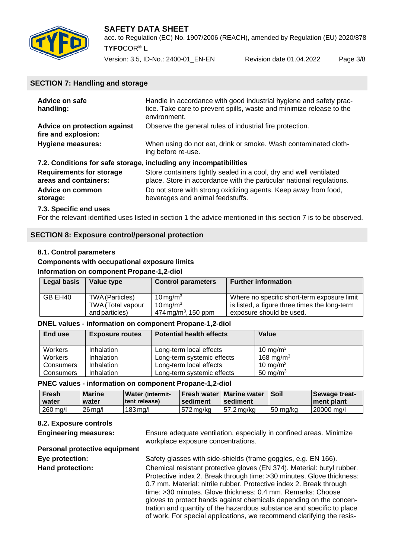

acc. to Regulation (EC) No. 1907/2006 (REACH), amended by Regulation (EU) 2020/878 **TYFO**COR® **L**

Version: 3.5, ID-No.: 2400-01\_EN-EN Revision date 01.04.2022 Page 3/8

#### **SECTION 7: Handling and storage**

| Advice on safe<br>handling:                                       | Handle in accordance with good industrial hygiene and safety prac-<br>tice. Take care to prevent spills, waste and minimize release to the<br>environment. |
|-------------------------------------------------------------------|------------------------------------------------------------------------------------------------------------------------------------------------------------|
| Advice on protection against<br>fire and explosion:               | Observe the general rules of industrial fire protection.                                                                                                   |
| <b>Hygiene measures:</b>                                          | When using do not eat, drink or smoke. Wash contaminated cloth-<br>ing before re-use.                                                                      |
| 7.2. Conditions for safe storage, including any incompatibilities |                                                                                                                                                            |
| <b>Requirements for storage</b><br>areas and containers:          | Store containers tightly sealed in a cool, dry and well ventilated<br>place. Store in accordance with the particular national regulations.                 |
| <b>Advice on common</b><br>storage:                               | Do not store with strong oxidizing agents. Keep away from food,<br>beverages and animal feedstuffs.                                                        |

#### **7.3. Specific end uses**

For the relevant identified uses listed in section 1 the advice mentioned in this section 7 is to be observed.

#### **SECTION 8: Exposure control/personal protection**

#### **8.1. Control parameters**

#### **Components with occupational exposure limits Information on component Propane-1,2-diol**

| Legal basis | Value type        | <b>Control parameters</b>         | <b>Further information</b>                    |
|-------------|-------------------|-----------------------------------|-----------------------------------------------|
| GB EH40     | TWA (Particles)   | $10 \,\mathrm{mg/m^3}$            | Where no specific short-term exposure limit   |
|             | TWA (Total vapour | $10 \,\mathrm{mg/m^3}$            | is listed, a figure three times the long-term |
|             | and particles)    | $474 \,\mathrm{mg/m^3}$ , 150 ppm | exposure should be used.                      |

#### **DNEL values - information on component Propane-1,2-diol**

| End use            | <b>Exposure routes</b>   | <b>Potential health effects</b>                       | Value                                |
|--------------------|--------------------------|-------------------------------------------------------|--------------------------------------|
| Workers<br>Workers | Inhalation<br>Inhalation | Long-term local effects<br>Long-term systemic effects | 10 mg/m $3$<br>168 mg/m <sup>3</sup> |
| Consumers          | Inhalation               | Long-term local effects                               | 10 mg/m <sup>3</sup>                 |
| Consumers          | Inhalation               | Long-term systemic effects                            | 50 mg/m <sup>3</sup>                 |

#### **PNEC values - information on component Propane-1,2-diol**

| <b>Fresh</b><br>water | <b>Marine</b><br>water | <b>Water (intermit-</b><br>l tent release) | ∣sediment   | <b>IFresh water   Marine water  </b><br>sediment | ∣Soil               | Sewage treat-<br>I ment plant |
|-----------------------|------------------------|--------------------------------------------|-------------|--------------------------------------------------|---------------------|-------------------------------|
| $260$ mg/l            | $26$ ma/l              | 183 ma/l                                   | l 572 ma/ka | l 57.2 ma/ka                                     | $150 \text{ mg/kg}$ | $ 20000 \text{ mg}/I$         |

# **8.2. Exposure controls**

**Engineering measures:** Ensure adequate ventilation, especially in confined areas. Minimize workplace exposure concentrations.

# **Personal protective equipment**

**Eye protection:** Safety glasses with side-shields (frame goggles, e.g. EN 166). **Hand protection:** Chemical resistant protective gloves (EN 374). Material: butyl rubber. Protective index 2. Break through time: >30 minutes. Glove thickness: 0.7 mm. Material: nitrile rubber. Protective index 2. Break through time: >30 minutes. Glove thickness: 0.4 mm. Remarks: Choose gloves to protect hands against chemicals depending on the concentration and quantity of the hazardous substance and specific to place of work. For special applications, we recommend clarifying the resis-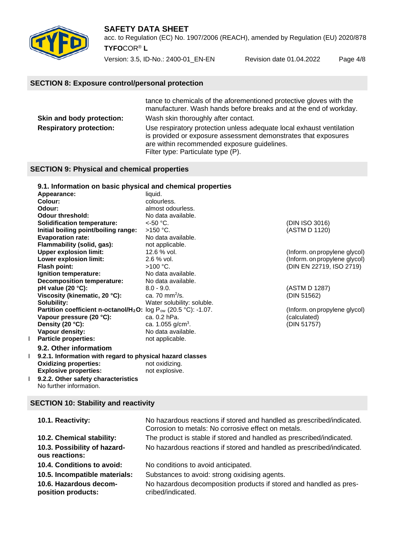

acc. to Regulation (EC) No. 1907/2006 (REACH), amended by Regulation (EU) 2020/878 **TYFO**COR® **L**

Version: 3.5, ID-No.: 2400-01\_EN-EN Revision date 01.04.2022 Page 4/8

# **SECTION 8: Exposure control/personal protection**

|                                | tance to chemicals of the aforementioned protective gloves with the<br>manufacturer. Wash hands before breaks and at the end of workday.                                                                                    |
|--------------------------------|-----------------------------------------------------------------------------------------------------------------------------------------------------------------------------------------------------------------------------|
| Skin and body protection:      | Wash skin thoroughly after contact.                                                                                                                                                                                         |
| <b>Respiratory protection:</b> | Use respiratory protection unless adequate local exhaust ventilation<br>is provided or exposure assessment demonstrates that exposures<br>are within recommended exposure guidelines.<br>Filter type: Particulate type (P). |

#### **SECTION 9: Physical and chemical properties**

#### **9.1. Information on basic physical and chemical properties**

| Appearance:                                                                           | liquid.                       |                               |
|---------------------------------------------------------------------------------------|-------------------------------|-------------------------------|
| Colour:                                                                               | colourless.                   |                               |
| Odour:                                                                                | almost odourless.             |                               |
| <b>Odour threshold:</b>                                                               | No data available.            |                               |
| <b>Solidification temperature:</b>                                                    | $<$ -50 °C.                   | (DIN ISO 3016)                |
| Initial boiling point/boiling range:                                                  | $>150$ °C.                    | (ASTM D 1120)                 |
| <b>Evaporation rate:</b>                                                              | No data available.            |                               |
| Flammability (solid, gas):                                                            | not applicable.               |                               |
| <b>Upper explosion limit:</b>                                                         | 12.6 % vol.                   | (Inform. on propylene glycol) |
| Lower explosion limit:                                                                | 2.6 % vol.                    | (Inform. on propylene glycol) |
| Flash point:                                                                          | $>100$ °C.                    | (DIN EN 22719, ISO 2719)      |
| Ignition temperature:                                                                 | No data available.            |                               |
| Decomposition temperature:                                                            | No data available.            |                               |
| pH value (20 $°C$ ):                                                                  | $8.0 - 9.0.$                  | (ASTM D 1287)                 |
| Viscosity (kinematic, 20 °C):                                                         | ca. 70 mm $^{2}/s$ .          | (DIN 51562)                   |
| Solubility:                                                                           | Water solubility: soluble.    |                               |
| <b>Partition coefficient n-octanol/H<sub>2</sub>O:</b> $log P_{ow}$ (20.5 °C): -1.07. |                               | (Inform. on propylene glycol) |
| Vapour pressure (20 °C):                                                              | ca. 0.2 hPa.                  | (calculated)                  |
| Density (20 °C):                                                                      | ca. 1.055 g/cm <sup>3</sup> . | (DIN 51757)                   |
| Vapour density:                                                                       | No data available.            |                               |
| <b>Particle properties:</b>                                                           | not applicable.               |                               |
| ---- -                                                                                |                               |                               |

# **9.2. Other informatiom** I **9.2.1. Information with regard to physical hazard classes Oxidizing properties:** not oxidizing.<br> **Explosive properties:** not explosive. **Explosive properties:**

I **9.2.2. Other safety characteristics** No further information.

# **SECTION 10: Stability and reactivity**

| 10.1. Reactivity:                              | No hazardous reactions if stored and handled as prescribed/indicated.<br>Corrosion to metals: No corrosive effect on metals. |
|------------------------------------------------|------------------------------------------------------------------------------------------------------------------------------|
| 10.2. Chemical stability:                      | The product is stable if stored and handled as prescribed/indicated.                                                         |
| 10.3. Possibility of hazard-<br>ous reactions: | No hazardous reactions if stored and handled as prescribed/indicated.                                                        |
| 10.4. Conditions to avoid:                     | No conditions to avoid anticipated.                                                                                          |
| 10.5. Incompatible materials:                  | Substances to avoid: strong oxidising agents.                                                                                |
| 10.6. Hazardous decom-<br>position products:   | No hazardous decomposition products if stored and handled as pres-<br>cribed/indicated.                                      |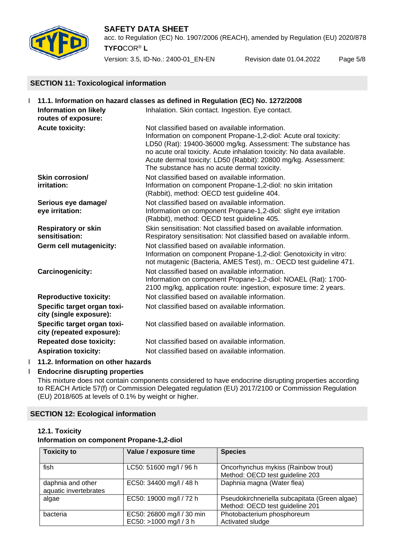

#### **SAFETY DATA SHEET** acc. to Regulation (EC) No. 1907/2006 (REACH), amended by Regulation (EU) 2020/878 **TYFO**COR® **L**

Version: 3.5, ID-No.: 2400-01\_EN-EN Revision date 01.04.2022 Page 5/8

# **SECTION 11: Toxicological information**

| 11.1. Information on hazard classes as defined in Regulation (EC) No. 1272/2008 |                                                          |                                                                                                                                                                                                                                                                                                                                                                             |
|---------------------------------------------------------------------------------|----------------------------------------------------------|-----------------------------------------------------------------------------------------------------------------------------------------------------------------------------------------------------------------------------------------------------------------------------------------------------------------------------------------------------------------------------|
|                                                                                 | <b>Information on likely</b><br>routes of exposure:      | Inhalation. Skin contact. Ingestion. Eye contact.                                                                                                                                                                                                                                                                                                                           |
|                                                                                 | <b>Acute toxicity:</b>                                   | Not classified based on available information.<br>Information on component Propane-1,2-diol: Acute oral toxicity:<br>LD50 (Rat): 19400-36000 mg/kg. Assessment: The substance has<br>no acute oral toxicity. Acute inhalation toxicity: No data available.<br>Acute dermal toxicity: LD50 (Rabbit): 20800 mg/kg. Assessment:<br>The substance has no acute dermal toxicity. |
|                                                                                 | Skin corrosion/<br>irritation:                           | Not classified based on available information.<br>Information on component Propane-1,2-diol: no skin irritation<br>(Rabbit), method: OECD test guideline 404.                                                                                                                                                                                                               |
|                                                                                 | Serious eye damage/<br>eye irritation:                   | Not classified based on available information.<br>Information on component Propane-1,2-diol: slight eye irritation<br>(Rabbit), method: OECD test guideline 405.                                                                                                                                                                                                            |
|                                                                                 | <b>Respiratory or skin</b><br>sensitisation:             | Skin sensitisation: Not classified based on available information.<br>Respiratory sensitisation: Not classified based on available inform.                                                                                                                                                                                                                                  |
|                                                                                 | Germ cell mutagenicity:                                  | Not classified based on available information.<br>Information on component Propane-1,2-diol: Genotoxicity in vitro:<br>not mutagenic (Bacteria, AMES Test), m.: OECD test guideline 471.                                                                                                                                                                                    |
|                                                                                 | <b>Carcinogenicity:</b>                                  | Not classified based on available information.<br>Information on component Propane-1,2-diol: NOAEL (Rat): 1700-<br>2100 mg/kg, application route: ingestion, exposure time: 2 years.                                                                                                                                                                                        |
|                                                                                 | <b>Reproductive toxicity:</b>                            | Not classified based on available information.                                                                                                                                                                                                                                                                                                                              |
|                                                                                 | Specific target organ toxi-<br>city (single exposure):   | Not classified based on available information.                                                                                                                                                                                                                                                                                                                              |
|                                                                                 | Specific target organ toxi-<br>city (repeated exposure): | Not classified based on available information.                                                                                                                                                                                                                                                                                                                              |
|                                                                                 | <b>Repeated dose toxicity:</b>                           | Not classified based on available information.                                                                                                                                                                                                                                                                                                                              |
|                                                                                 | <b>Aspiration toxicity:</b>                              | Not classified based on available information.                                                                                                                                                                                                                                                                                                                              |

# I **11.2. Information on other hazards**

# Ӏ **Endocrine disrupting properties**

This mixture does not contain components considered to have endocrine disrupting properties according to REACH Article 57(f) or Commission Delegated regulation (EU) 2017/2100 or Commission Regulation (EU) 2018/605 at levels of 0.1% by weight or higher.

# **SECTION 12: Ecological information**

# **12.1. Toxicity**

#### **Information on component Propane-1,2-diol**

| <b>Toxicity to</b>                         | Value / exposure time                               | <b>Species</b>                                                                   |
|--------------------------------------------|-----------------------------------------------------|----------------------------------------------------------------------------------|
| fish                                       | LC50: 51600 mg/l / 96 h                             | Oncorhynchus mykiss (Rainbow trout)<br>Method: OECD test guideline 203           |
| daphnia and other<br>aquatic invertebrates | EC50: 34400 mg/l / 48 h                             | Daphnia magna (Water flea)                                                       |
| algae                                      | EC50: 19000 mg/l / 72 h                             | Pseudokirchneriella subcapitata (Green algae)<br>Method: OECD test guideline 201 |
| bacteria                                   | EC50: 26800 mg/l / 30 min<br>EC50: >1000 mg/l / 3 h | Photobacterium phosphoreum<br>Activated sludge                                   |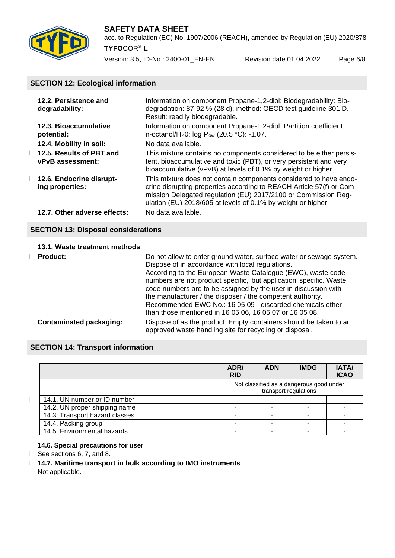

acc. to Regulation (EC) No. 1907/2006 (REACH), amended by Regulation (EU) 2020/878 **TYFO**COR® **L**

Version: 3.5, ID-No.: 2400-01\_EN-EN Revision date 01.04.2022 Page 6/8

# **SECTION 12: Ecological information**

| 12.2. Persistence and<br>degradability:        | Information on component Propane-1,2-diol: Biodegradability: Bio-<br>degradation: 87-92 % (28 d), method: OECD test quideline 301 D.<br>Result: readily biodegradable.                                                                                                      |
|------------------------------------------------|-----------------------------------------------------------------------------------------------------------------------------------------------------------------------------------------------------------------------------------------------------------------------------|
| 12.3. Bioaccumulative<br>potential:            | Information on component Propane-1,2-diol: Partition coefficient<br>n-octanol/H <sub>2</sub> 0: log P <sub>ow</sub> (20.5 °C): -1.07.                                                                                                                                       |
| 12.4. Mobility in soil:                        | No data available.                                                                                                                                                                                                                                                          |
| 1 12.5. Results of PBT and<br>vPvB assessment: | This mixture contains no components considered to be either persis-<br>tent, bioaccumulative and toxic (PBT), or very persistent and very<br>bioaccumulative (vPvB) at levels of 0.1% by weight or higher.                                                                  |
| 1 12.6. Endocrine disrupt-<br>ing properties:  | This mixture does not contain components considered to have endo-<br>crine disrupting properties according to REACH Article 57(f) or Com-<br>mission Delegated regulation (EU) 2017/2100 or Commission Reg-<br>ulation (EU) 2018/605 at levels of 0.1% by weight or higher. |
| 12.7. Other adverse effects:                   | No data available.                                                                                                                                                                                                                                                          |

# **SECTION 13: Disposal considerations**

#### **13.1. Waste treatment methods**

| <b>Product:</b>                | Do not allow to enter ground water, surface water or sewage system.<br>Dispose of in accordance with local regulations.<br>According to the European Waste Catalogue (EWC), waste code<br>numbers are not product specific, but application specific. Waste<br>code numbers are to be assigned by the user in discussion with<br>the manufacturer / the disposer / the competent authority.<br>Recommended EWC No.: 16 05 09 - discarded chemicals other<br>than those mentioned in 16 05 06, 16 05 07 or 16 05 08. |
|--------------------------------|---------------------------------------------------------------------------------------------------------------------------------------------------------------------------------------------------------------------------------------------------------------------------------------------------------------------------------------------------------------------------------------------------------------------------------------------------------------------------------------------------------------------|
| <b>Contaminated packaging:</b> | Dispose of as the product. Empty containers should be taken to an<br>approved waste handling site for recycling or disposal.                                                                                                                                                                                                                                                                                                                                                                                        |

# **SECTION 14: Transport information**

|                                | ADR/<br><b>RID</b> | <b>ADN</b>            | <b>IMDG</b>                              | <b>IATA/</b><br><b>ICAO</b> |
|--------------------------------|--------------------|-----------------------|------------------------------------------|-----------------------------|
|                                |                    | transport regulations | Not classified as a dangerous good under |                             |
| 14.1. UN number or ID number   |                    |                       |                                          |                             |
| 14.2. UN proper shipping name  |                    |                       |                                          |                             |
| 14.3. Transport hazard classes |                    |                       |                                          |                             |
| 14.4. Packing group            |                    |                       |                                          |                             |
| 14.5. Environmental hazards    |                    |                       |                                          |                             |

# **14.6. Special precautions for user**

- I See sections 6, 7, and 8.
- Ӏ **14.7. Maritime transport in bulk according to IMO instruments** Not applicable.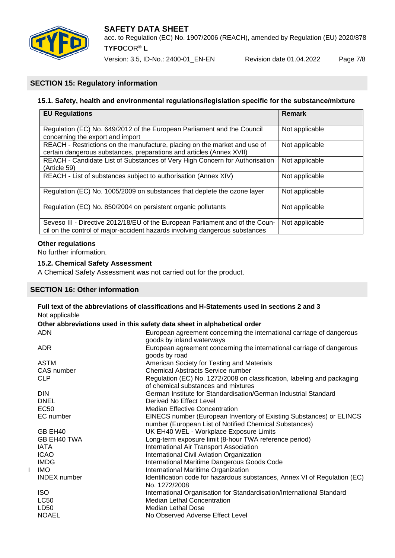

Version: 3.5, ID-No.: 2400-01\_EN-EN Revision date 01.04.2022 Page 7/8

# **SECTION 15: Regulatory information**

# **15.1. Safety, health and environmental regulations/legislation specific for the substance/mixture**

| <b>EU Regulations</b>                                                                                                                                        | <b>Remark</b>  |
|--------------------------------------------------------------------------------------------------------------------------------------------------------------|----------------|
| Regulation (EC) No. 649/2012 of the European Parliament and the Council<br>concerning the export and import                                                  | Not applicable |
| REACH - Restrictions on the manufacture, placing on the market and use of<br>certain dangerous substances, preparations and articles (Annex XVII)            | Not applicable |
| REACH - Candidate List of Substances of Very High Concern for Authorisation<br>(Article 59)                                                                  | Not applicable |
| REACH - List of substances subject to authorisation (Annex XIV)                                                                                              | Not applicable |
| Regulation (EC) No. 1005/2009 on substances that deplete the ozone layer                                                                                     | Not applicable |
| Regulation (EC) No. 850/2004 on persistent organic pollutants                                                                                                | Not applicable |
| Seveso III - Directive 2012/18/EU of the European Parliament and of the Coun-<br>cil on the control of major-accident hazards involving dangerous substances | Not applicable |

#### **Other regulations**

No further information.

#### **15.2. Chemical Safety Assessment**

A Chemical Safety Assessment was not carried out for the product.

# **SECTION 16: Other information**

| Not applicable                                                           | Full text of the abbreviations of classifications and H-Statements used in sections 2 and 3                                   |  |  |  |
|--------------------------------------------------------------------------|-------------------------------------------------------------------------------------------------------------------------------|--|--|--|
| Other abbreviations used in this safety data sheet in alphabetical order |                                                                                                                               |  |  |  |
| <b>ADN</b>                                                               | European agreement concerning the international carriage of dangerous<br>goods by inland waterways                            |  |  |  |
| <b>ADR</b>                                                               | European agreement concerning the international carriage of dangerous<br>goods by road                                        |  |  |  |
| <b>ASTM</b>                                                              | American Society for Testing and Materials                                                                                    |  |  |  |
| CAS number                                                               | <b>Chemical Abstracts Service number</b>                                                                                      |  |  |  |
| <b>CLP</b>                                                               | Regulation (EC) No. 1272/2008 on classification, labeling and packaging<br>of chemical substances and mixtures                |  |  |  |
| <b>DIN</b>                                                               | German Institute for Standardisation/German Industrial Standard                                                               |  |  |  |
| <b>DNEL</b>                                                              | Derived No Effect Level                                                                                                       |  |  |  |
| EC50                                                                     | <b>Median Effective Concentration</b>                                                                                         |  |  |  |
| EC number                                                                | EINECS number (European Inventory of Existing Substances) or ELINCS<br>number (European List of Notified Chemical Substances) |  |  |  |
| GB EH40                                                                  | UK EH40 WEL - Workplace Exposure Limits                                                                                       |  |  |  |
| <b>GB EH40 TWA</b>                                                       | Long-term exposure limit (8-hour TWA reference period)                                                                        |  |  |  |
| IATA                                                                     | International Air Transport Association                                                                                       |  |  |  |
| <b>ICAO</b>                                                              | International Civil Aviation Organization                                                                                     |  |  |  |
| <b>IMDG</b>                                                              | International Maritime Dangerous Goods Code                                                                                   |  |  |  |
| <b>IMO</b>                                                               | International Maritime Organization                                                                                           |  |  |  |
| <b>INDEX</b> number                                                      | Identification code for hazardous substances, Annex VI of Regulation (EC)<br>No. 1272/2008                                    |  |  |  |
| <b>ISO</b>                                                               | International Organisation for Standardisation/International Standard                                                         |  |  |  |
| <b>LC50</b>                                                              | <b>Median Lethal Concentration</b>                                                                                            |  |  |  |
| LD50                                                                     | Median Lethal Dose                                                                                                            |  |  |  |
| <b>NOAEL</b>                                                             | No Observed Adverse Effect Level                                                                                              |  |  |  |
|                                                                          |                                                                                                                               |  |  |  |